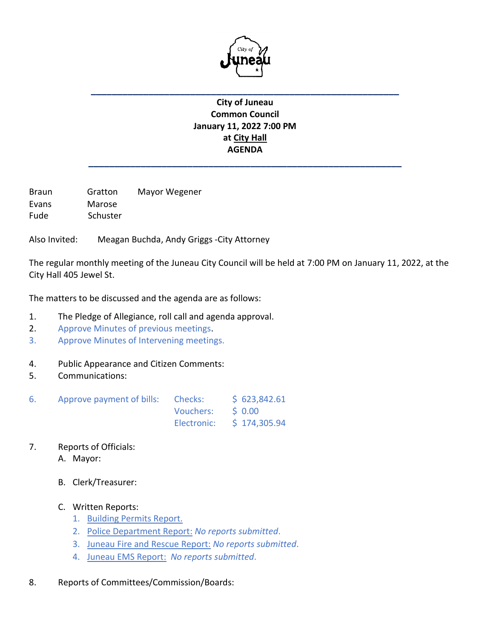

## **City of Juneau Common Council January 11, 2022 7:00 PM at City Hall AGENDA**

**\_\_\_\_\_\_\_\_\_\_\_\_\_\_\_\_\_\_\_\_\_\_\_\_\_\_\_\_\_\_\_\_\_\_\_\_\_\_\_\_\_\_\_\_\_\_\_\_\_\_\_\_\_\_\_\_\_\_\_\_**

**\_\_\_\_\_\_\_\_\_\_\_\_\_\_\_\_\_\_\_\_\_\_\_\_\_\_\_\_\_\_\_\_\_\_\_\_\_\_\_\_\_\_\_\_\_\_\_\_\_\_\_\_\_\_\_\_\_\_\_**

Braun Gratton Mayor Wegener Evans Marose Fude Schuster

Also Invited: Meagan Buchda, Andy Griggs -City Attorney

The regular monthly meeting of the Juneau City Council will be held at 7:00 PM on January 11, 2022, at the City Hall 405 Jewel St.

The matters to be discussed and the agenda are as follows:

- 1. The Pledge of Allegiance, roll call and agenda approval.
- 2. Approve Minutes of previous meetings.
- 3. Approve Minutes of Intervening meetings.
- 4. Public Appearance and Citizen Comments:
- 5. Communications:

| 6. | Approve payment of bills: Checks: |                   | \$623,842.61              |  |
|----|-----------------------------------|-------------------|---------------------------|--|
|    |                                   | Vouchers: \$ 0.00 |                           |  |
|    |                                   |                   | Electronic: \$ 174,305.94 |  |

- 7. Reports of Officials:
	- A. Mayor:
	- B. Clerk/Treasurer:
	- C. Written Reports:
		- 1. Building Permits Report.
		- 2. Police Department Report: *No reports submitted*.
		- 3. Juneau Fire and Rescue Report: *No reports submitted*.
		- 4. Juneau EMS Report: *No reports submitted*.
- 8. Reports of Committees/Commission/Boards: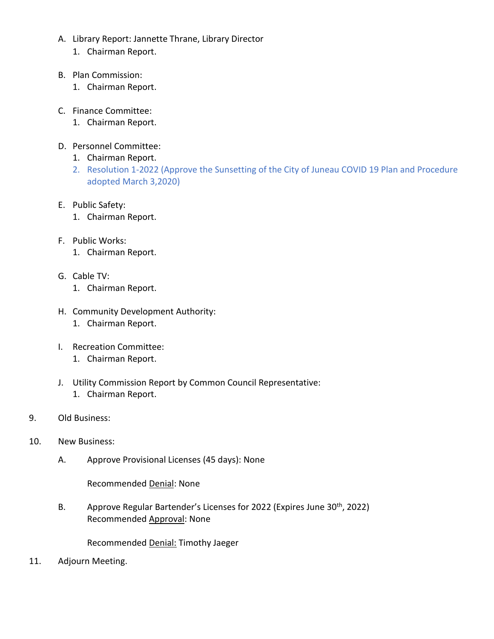- A. Library Report: Jannette Thrane, Library Director
	- 1. Chairman Report.
- B. Plan Commission:
	- 1. Chairman Report.
- C. Finance Committee:
	- 1. Chairman Report.
- D. Personnel Committee:
	- 1. Chairman Report.
	- 2. Resolution 1-2022 (Approve the Sunsetting of the City of Juneau COVID 19 Plan and Procedure adopted March 3,2020)
- E. Public Safety:
	- 1. Chairman Report.
- F. Public Works:
	- 1. Chairman Report.
- G. Cable TV:
	- 1. Chairman Report.
- H. Community Development Authority:
	- 1. Chairman Report.
- I. Recreation Committee:
	- 1. Chairman Report.
- J. Utility Commission Report by Common Council Representative:
	- 1. Chairman Report.
- 9. Old Business:
- 10. New Business:
	- A. Approve Provisional Licenses (45 days): None

Recommended Denial: None

B. Approve Regular Bartender's Licenses for 2022 (Expires June 30<sup>th</sup>, 2022) Recommended Approval: None

Recommended Denial: Timothy Jaeger

11. Adjourn Meeting.